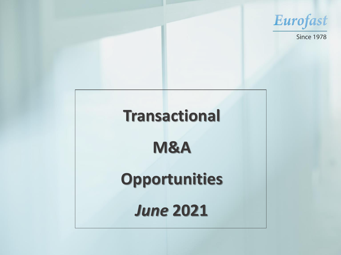# **Transactional M&A Opportunities**  *June* **2021**



# **Since 1978**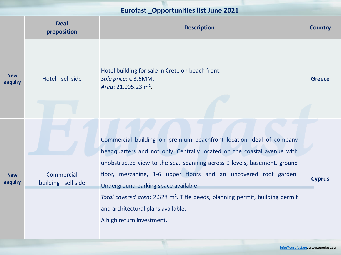|                       | <b>Deal</b><br>proposition         | <b>Description</b>                                                                                                                                                                   | <b>Country</b> |
|-----------------------|------------------------------------|--------------------------------------------------------------------------------------------------------------------------------------------------------------------------------------|----------------|
| <b>New</b><br>enquiry | Hotel - sell side                  | Hotel building for sale in Crete on beach front.<br>Sale price: $€$ 3.6MM.<br>Area: $21.005.23$ m <sup>2</sup> .                                                                     | <b>Greece</b>  |
| <b>New</b><br>enquiry |                                    | Commercial building on premium beachfront location ideal of company<br>headquarters and not only. Centrally located on the coastal avenue with                                       |                |
|                       | Commercial<br>building - sell side | unobstructed view to the sea. Spanning across 9 levels, basement, ground<br>floor, mezzanine, 1-6 upper floors and an uncovered roof garden.<br>Underground parking space available. | <b>Cyprus</b>  |
|                       |                                    | Total covered area: 2.328 m <sup>2</sup> . Title deeds, planning permit, building permit<br>and architectural plans available.<br>A high return investment.                          |                |



**[info@eurofast.eu,](mailto:info@eurofast.eu) www.eurofast.eu**

# **Eurofast \_Opportunities list June 2021**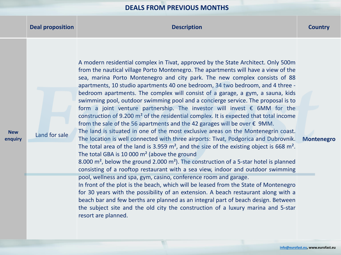## **Deal proposition Description Country**

**New enquiry**

Land for sale

A modern residential complex in Tivat, approved by the State Architect. Only 500m from the nautical village Porto Montenegro. The apartments will have a view of the sea, marina Porto Montenegro and city park. The new complex consists of 88 apartments, 10 studio apartments 40 one bedroom, 34 two bedroom, and 4 three bedroom apartments. The complex will consist of a garage, a gym, a sauna, kids swimming pool, outdoor swimming pool and a concierge service. The proposal is to form a joint venture partnership. The investor will invest  $\epsilon$  6MM for the construction of 9.200 m² of the residential complex. It is expected that total income from the sale of the 56 apartments and the 42 garages will be over  $\epsilon$  9MM. The land is situated in one of the most exclusive areas on the Montenegrin coast. The location is well connected with three airports: Tivat, Podgorica and Dubrovnik. The total area of the land is 3.959 m<sup>2</sup>, and the size of the existing object is 668 m<sup>2</sup>. The total GBA is 10 000 m<sup>2</sup> (above the ground 8.000 m², below the ground 2.000 m²). The construction of a 5-star hotel is planned consisting of a rooftop restaurant with a sea view, indoor and outdoor swimming pool, wellness and spa, gym, casino, conference room and garage. In front of the plot is the beach, which will be leased from the State of Montenegro for 30 years with the possibility of an extension. A beach restaurant along with a beach bar and few berths are planned as an integral part of beach design. Between the subject site and the old city the construction of a luxury marina and 5-star

resort are planned.

#### **Montenegro**

## **DEALS FROM PREVIOUS MONTHS**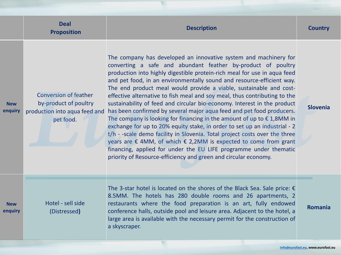**enquiry**

|                      | <b>Deal</b><br><b>Proposition</b>                                                                   | <b>Description</b>                                                                                                                                                                                                                                                                                                                                                                                                                                                                                                                                                                                                                                                                                                                                                                                                                                                                                                                                                                                                                                                        | <b>Country</b> |
|----------------------|-----------------------------------------------------------------------------------------------------|---------------------------------------------------------------------------------------------------------------------------------------------------------------------------------------------------------------------------------------------------------------------------------------------------------------------------------------------------------------------------------------------------------------------------------------------------------------------------------------------------------------------------------------------------------------------------------------------------------------------------------------------------------------------------------------------------------------------------------------------------------------------------------------------------------------------------------------------------------------------------------------------------------------------------------------------------------------------------------------------------------------------------------------------------------------------------|----------------|
| <b>New</b><br>nquiry | <b>Conversion of feather</b><br>by-product of poultry<br>production into aqua feed and<br>pet food. | The company has developed an innovative system and machinery for<br>converting a safe and abundant feather by-product of poultry<br>production into highly digestible protein-rich meal for use in aqua feed<br>and pet food, in an environmentally sound and resource-efficient way.<br>The end product meal would provide a viable, sustainable and cost-<br>effective alternative to fish meal and soy meal, thus contributing to the<br>sustainability of feed and circular bio-economy. Interest in the product<br>has been confirmed by several major aqua feed and pet food producers.<br>The company is looking for financing in the amount of up to $\epsilon$ 1,8MM in<br>exchange for up to 20% equity stake, in order to set up an industrial - 2<br>t/h - -scale demo facility in Slovenia. Total project costs over the three<br>years are $\epsilon$ 4MM, of which $\epsilon$ 2,2MM is expected to come from grant<br>financing, applied for under the EU LIFE programme under thematic<br>priority of Resource-efficiency and green and circular economy. | Slovenia       |
| <b>New</b><br>nquiry | Hotel - sell side<br>(Distressed)                                                                   | The 3-star hotel is located on the shores of the Black Sea. Sale price: $\epsilon$<br>8.5MM. The hotels has 280 double rooms and 26 apartments, 2<br>restaurants where the food preparation is an art, fully endowed<br>conference halls, outside pool and leisure area. Adjacent to the hotel, a<br>large area is available with the necessary permit for the construction of<br>a skyscraper.                                                                                                                                                                                                                                                                                                                                                                                                                                                                                                                                                                                                                                                                           | <b>Romania</b> |

**enquiry**

### **Romania**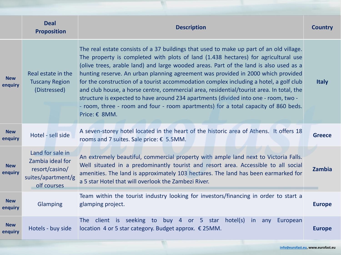|                       | <b>Deal</b><br><b>Proposition</b>                                                           | <b>Description</b>                                                                                                                                                                                                                                                                                                                                                                                                                                                                                                                                                                                                                                                                                                                             | <b>Country</b> |
|-----------------------|---------------------------------------------------------------------------------------------|------------------------------------------------------------------------------------------------------------------------------------------------------------------------------------------------------------------------------------------------------------------------------------------------------------------------------------------------------------------------------------------------------------------------------------------------------------------------------------------------------------------------------------------------------------------------------------------------------------------------------------------------------------------------------------------------------------------------------------------------|----------------|
| <b>New</b><br>enquiry | Real estate in the<br><b>Tuscany Region</b><br>(Distressed)                                 | The real estate consists of a 37 buildings that used to make up part of an old village.<br>The property is completed with plots of land (1.438 hectares) for agricultural use<br>(olive trees, arable land) and large wooded areas. Part of the land is also used as a<br>hunting reserve. An urban planning agreement was provided in 2000 which provided<br>for the construction of a tourist accommodation complex including a hotel, a golf club<br>and club house, a horse centre, commercial area, residential/tourist area. In total, the<br>structure is expected to have around 234 apartments (divided into one - room, two -<br>- room, three - room and four - room apartments) for a total capacity of 860 beds.<br>Price: € 8MM. | <b>Italy</b>   |
| <b>New</b><br>enquiry | Hotel - sell side                                                                           | A seven-storey hotel located in the heart of the historic area of Athens. It offers 18<br>rooms and 7 suites. Sale price: $\epsilon$ 5.5MM.                                                                                                                                                                                                                                                                                                                                                                                                                                                                                                                                                                                                    | <b>Greece</b>  |
| <b>New</b><br>enquiry | Land for sale in<br>Zambia ideal for<br>resort/casino/<br>suites/apartment/g<br>olf courses | An extremely beautiful, commercial property with ample land next to Victoria Falls.<br>Well situated in a predominantly tourist and resort area. Accessible to all social<br>amenities. The land is approximately 103 hectares. The land has been earmarked for<br>a 5 star Hotel that will overlook the Zambezi River.                                                                                                                                                                                                                                                                                                                                                                                                                        | Zambia         |
| <b>New</b><br>enquiry | <b>Glamping</b>                                                                             | Team within the tourist industry looking for investors/financing in order to start a<br>glamping project.                                                                                                                                                                                                                                                                                                                                                                                                                                                                                                                                                                                                                                      | <b>Europe</b>  |
| <b>New</b><br>enquiry | Hotels - buy side                                                                           | 4 or 5 star hotel(s)<br>seeking<br>to<br>The client is<br>buy l<br>in l<br>European<br>any<br>location 4 or 5 star category. Budget approx. $\epsilon$ 25MM.                                                                                                                                                                                                                                                                                                                                                                                                                                                                                                                                                                                   | <b>Europe</b>  |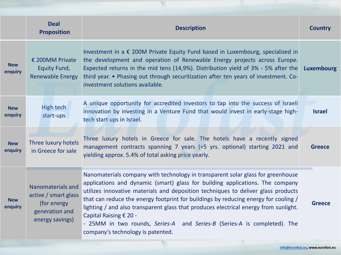|                       | <b>Deal</b><br><b>Proposition</b>                                                                     | <b>Description</b>                                                                                                                                                                                                                                                                                                                                                                                                                                                                                                                                                              | <b>Country</b> |
|-----------------------|-------------------------------------------------------------------------------------------------------|---------------------------------------------------------------------------------------------------------------------------------------------------------------------------------------------------------------------------------------------------------------------------------------------------------------------------------------------------------------------------------------------------------------------------------------------------------------------------------------------------------------------------------------------------------------------------------|----------------|
| <b>New</b><br>enquiry | $\epsilon$ 200MM Private<br>Equity Fund,<br><b>Renewable Energy</b>                                   | Investment in a $\epsilon$ 200M Private Equity Fund based in Luxembourg, specialized in<br>the development and operation of Renewable Energy projects across Europe.<br>Expected returns in the mid tens (14,9%). Distribution yield of 3% - 5% after the<br>third year. • Phasing out through securitization after ten years of investment. Co-<br>investment solutions available.                                                                                                                                                                                             | Luxembourg     |
| <b>New</b><br>enquiry | High tech<br>start-ups                                                                                | A unique opportunity for accredited investors to tap into the success of Israeli<br>innovation by investing in a Venture Fund that would invest in early-stage high-<br>tech start ups in Israel.                                                                                                                                                                                                                                                                                                                                                                               | <b>Israel</b>  |
| <b>New</b><br>enquiry | Three luxury hotels<br>in Greece for sale                                                             | Three luxury hotels in Greece for sale. The hotels have a recently signed<br>management contracts spanning 7 years (+5 yrs. optional) starting 2021 and<br>yielding approx. 5.4% of total asking price yearly.                                                                                                                                                                                                                                                                                                                                                                  | <b>Greece</b>  |
| <b>New</b><br>enquiry | <b>Nanomaterials and</b><br>active / smart glass<br>(for energy)<br>generation and<br>energy savings) | Nanomaterials company with technology in transparent solar glass for greenhouse<br>applications and dynamic (smart) glass for building applications. The company<br>utilizes innovative materials and deposition techniques to deliver glass products<br>that can reduce the energy footprint for buildings by reducing energy for cooling /<br>lighting / and also transparent glass that produces electrical energy from sunlight.<br>Capital Raising € 20 -<br>- 25MM in two rounds, Series-A and Series-B (Series-A is completed). The<br>company's technology is patented. | <b>Greece</b>  |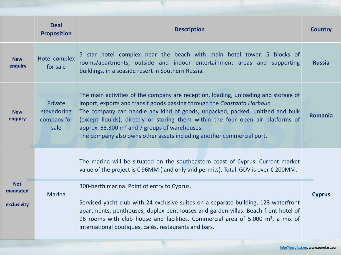|                                       | <b>Deal</b><br><b>Proposition</b>             | <b>Description</b>                                                                                                                                                                                                                                                                                                                                                                                                                                                         | <b>Country</b> |
|---------------------------------------|-----------------------------------------------|----------------------------------------------------------------------------------------------------------------------------------------------------------------------------------------------------------------------------------------------------------------------------------------------------------------------------------------------------------------------------------------------------------------------------------------------------------------------------|----------------|
| <b>New</b><br>enquiry                 | Hotel complex<br>for sale                     | 5 star hotel complex near the beach with main hotel tower, 5 blocks of<br>rooms/apartments, outside and indoor entertainment areas and supporting<br>buildings, in a seaside resort in Southern Russia.                                                                                                                                                                                                                                                                    | <b>Russia</b>  |
| <b>New</b><br>enquiry                 | Private<br>stevedoring<br>company for<br>sale | The main activities of the company are reception, loading, unloading and storage of<br>import, exports and transit goods passing through the Constanta Harbour.<br>The company can handle any kind of goods, unpacked, packed, unitized and bulk<br>(except liquids), directly or storing them within the four open air platforms of<br>approx. 63.300 m <sup>2</sup> and 7 groups of warehouses.<br>The company also owns other assets including another commercial port. | Romania        |
|                                       |                                               | The marina will be situated on the southeastern coast of Cyprus. Current market<br>value of the project is $\epsilon$ 96MM (land only and permits). Total GDV is over $\epsilon$ 200MM.                                                                                                                                                                                                                                                                                    | <b>Cyprus</b>  |
| <b>Not</b><br>mandated<br>exclusivity | <b>Marina</b>                                 | 300-berth marina. Point of entry to Cyprus.<br>Serviced yacht club with 24 exclusive suites on a separate building, 123 waterfront<br>apartments, penthouses, duplex penthouses and garden villas. Beach front hotel of<br>96 rooms with club house and facilities. Commercial area of 5.000 m <sup>2</sup> , a mix of<br>international boutiques, cafés, restaurants and bars.                                                                                            |                |

 $\mathbb{R}^n$